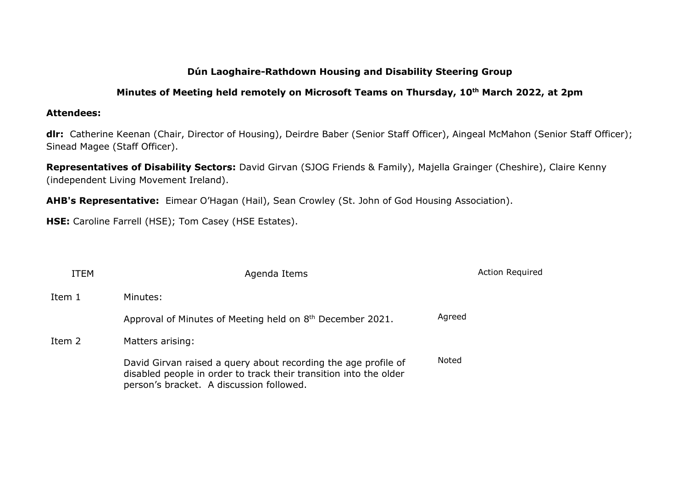# **Dún Laoghaire-Rathdown Housing and Disability Steering Group**

## **Minutes of Meeting held remotely on Microsoft Teams on Thursday, 10th March 2022, at 2pm**

### **Attendees:**

**dlr:** Catherine Keenan (Chair, Director of Housing), Deirdre Baber (Senior Staff Officer), Aingeal McMahon (Senior Staff Officer); Sinead Magee (Staff Officer).

**Representatives of Disability Sectors:** David Girvan (SJOG Friends & Family), Majella Grainger (Cheshire), Claire Kenny (independent Living Movement Ireland).

**AHB's Representative:** Eimear O'Hagan (Hail), Sean Crowley (St. John of God Housing Association).

**HSE:** Caroline Farrell (HSE); Tom Casey (HSE Estates).

| <b>ITEM</b> | Agenda Items                                                                                                                                                                    | <b>Action Required</b> |
|-------------|---------------------------------------------------------------------------------------------------------------------------------------------------------------------------------|------------------------|
| Item 1      | Minutes:                                                                                                                                                                        |                        |
|             | Approval of Minutes of Meeting held on 8 <sup>th</sup> December 2021.                                                                                                           | Agreed                 |
| Item 2      | Matters arising:                                                                                                                                                                |                        |
|             | David Girvan raised a query about recording the age profile of<br>disabled people in order to track their transition into the older<br>person's bracket. A discussion followed. | Noted                  |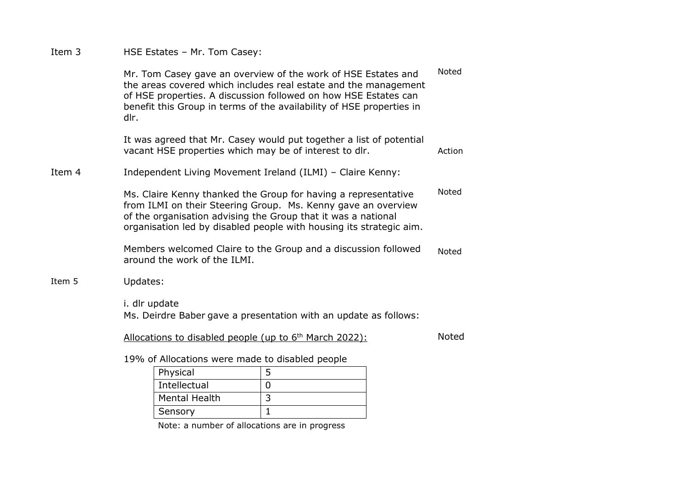Item 3 HSE Estates – Mr. Tom Casey:

Mr. Tom Casey gave an overview of the work of HSE Estates and the areas covered which includes real estate and the management of HSE properties. A discussion followed on how HSE Estates can benefit this Group in terms of the availability of HSE properties in dlr. It was agreed that Mr. Casey would put together a list of potential vacant HSE properties which may be of interest to dlr. Noted Action Item 4 Independent Living Movement Ireland (ILMI) – Claire Kenny: Ms. Claire Kenny thanked the Group for having a representative from ILMI on their Steering Group. Ms. Kenny gave an overview of the organisation advising the Group that it was a national organisation led by disabled people with housing its strategic aim. Members welcomed Claire to the Group and a discussion followed around the work of the ILMI. Noted Noted Item 5 Updates:

> i. dlr update Ms. Deirdre Baber gave a presentation with an update as follows:

Allocations to disabled people (up to  $6<sup>th</sup>$  March 2022):

Noted

19% of Allocations were made to disabled people

| Physical             |  |
|----------------------|--|
| Intellectual         |  |
| <b>Mental Health</b> |  |
| Sensory              |  |

Note: a number of allocations are in progress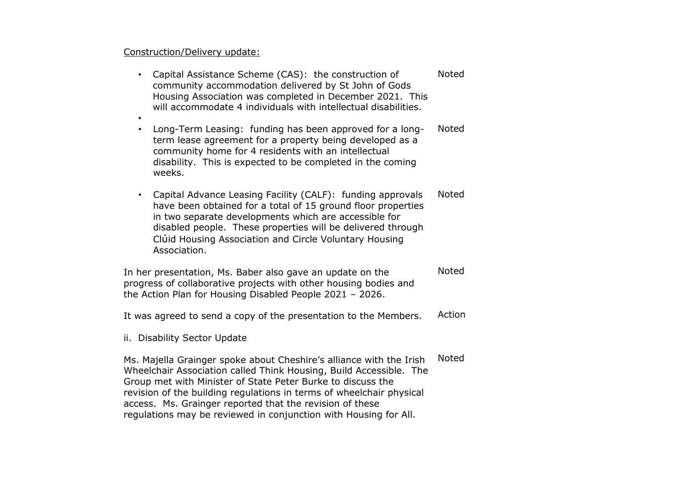### Construction/Delivery update:

- Capital Assistance Scheme (CAS): the construction of community accommodation delivered by St John of Gods Housing Association was completed in December 2021. This will accommodate 4 individuals with intellectual disabilities. Noted
- • Long-Term Leasing: funding has been approved for a longterm lease agreement for a property being developed as a community home for 4 residents with an intellectual disability. This is expected to be completed in the coming weeks. Noted
- Capital Advance Leasing Facility (CALF): funding approvals have been obtained for a total of 15 ground floor properties in two separate developments which are accessible for disabled people. These properties will be delivered through Clúid Housing Association and Circle Voluntary Housing Association. Noted

In her presentation, Ms. Baber also gave an update on the progress of collaborative projects with other housing bodies and the Action Plan for Housing Disabled People 2021 – 2026. Noted

It was agreed to send a copy of the presentation to the Members. Action

ii. Disability Sector Update

Ms. Majella Grainger spoke about Cheshire's alliance with the Irish Wheelchair Association called Think Housing, Build Accessible. The Group met with Minister of State Peter Burke to discuss the revision of the building regulations in terms of wheelchair physical access. Ms. Grainger reported that the revision of these regulations may be reviewed in conjunction with Housing for All. Noted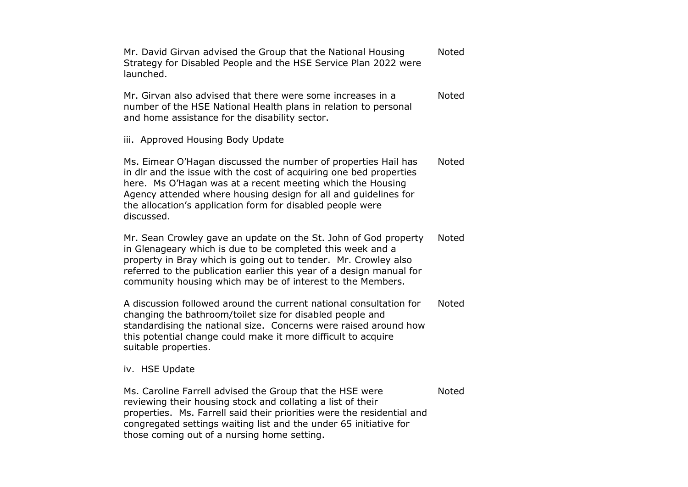Mr. David Girvan advised the Group that the National Housing Strategy for Disabled People and the HSE Service Plan 2022 were launched. Noted

Mr. Girvan also advised that there were some increases in a number of the HSE National Health plans in relation to personal and home assistance for the disability sector. Noted

iii. Approved Housing Body Update

Ms. Eimear O'Hagan discussed the number of properties Hail has in dlr and the issue with the cost of acquiring one bed properties here. Ms O'Hagan was at a recent meeting which the Housing Agency attended where housing design for all and guidelines for the allocation's application form for disabled people were discussed. Noted

Mr. Sean Crowley gave an update on the St. John of God property in Glenageary which is due to be completed this week and a property in Bray which is going out to tender. Mr. Crowley also referred to the publication earlier this year of a design manual for community housing which may be of interest to the Members. Noted

A discussion followed around the current national consultation for changing the bathroom/toilet size for disabled people and standardising the national size. Concerns were raised around how this potential change could make it more difficult to acquire suitable properties. Noted

#### iv. HSE Update

Ms. Caroline Farrell advised the Group that the HSE were reviewing their housing stock and collating a list of their properties. Ms. Farrell said their priorities were the residential and congregated settings waiting list and the under 65 initiative for those coming out of a nursing home setting. Noted